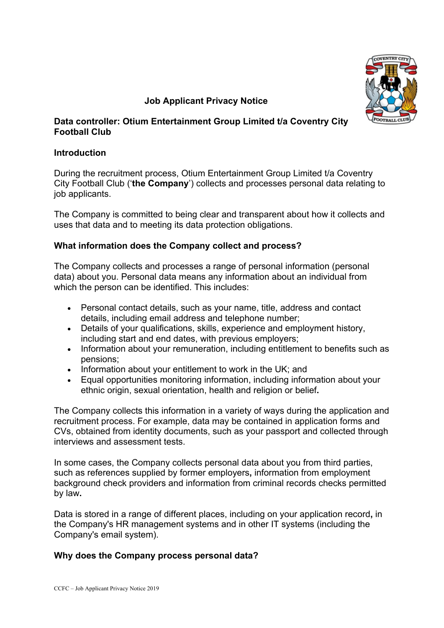

# **Job Applicant Privacy Notice**

### **Data controller: Otium Entertainment Group Limited t/a Coventry City Football Club**

## **Introduction**

During the recruitment process, Otium Entertainment Group Limited t/a Coventry City Football Club ('**the Company**') collects and processes personal data relating to job applicants.

The Company is committed to being clear and transparent about how it collects and uses that data and to meeting its data protection obligations.

## **What information does the Company collect and process?**

The Company collects and processes a range of personal information (personal data) about you. Personal data means any information about an individual from which the person can be identified. This includes:

- Personal contact details, such as your name, title, address and contact details, including email address and telephone number;
- Details of your qualifications, skills, experience and employment history, including start and end dates, with previous employers;
- Information about your remuneration, including entitlement to benefits such as pensions;
- Information about your entitlement to work in the UK; and
- Equal opportunities monitoring information, including information about your ethnic origin, sexual orientation, health and religion or belief**.**

The Company collects this information in a variety of ways during the application and recruitment process. For example, data may be contained in application forms and CVs, obtained from identity documents, such as your passport and collected through interviews and assessment tests.

In some cases, the Company collects personal data about you from third parties, such as references supplied by former employers**,** information from employment background check providers and information from criminal records checks permitted by law**.**

Data is stored in a range of different places, including on your application record**,** in the Company's HR management systems and in other IT systems (including the Company's email system).

## **Why does the Company process personal data?**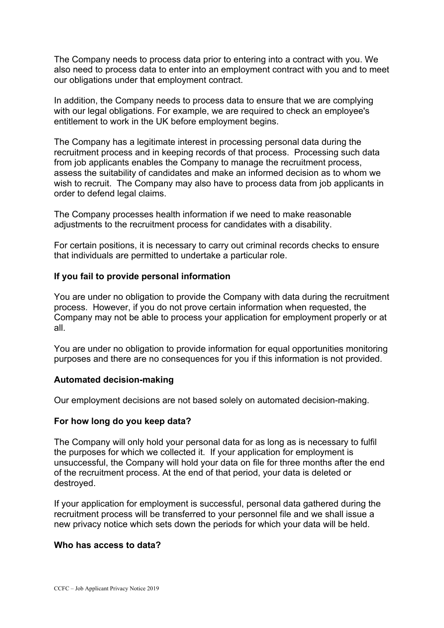The Company needs to process data prior to entering into a contract with you. We also need to process data to enter into an employment contract with you and to meet our obligations under that employment contract.

In addition, the Company needs to process data to ensure that we are complying with our legal obligations. For example, we are required to check an employee's entitlement to work in the UK before employment begins.

The Company has a legitimate interest in processing personal data during the recruitment process and in keeping records of that process. Processing such data from job applicants enables the Company to manage the recruitment process, assess the suitability of candidates and make an informed decision as to whom we wish to recruit. The Company may also have to process data from job applicants in order to defend legal claims.

The Company processes health information if we need to make reasonable adjustments to the recruitment process for candidates with a disability.

For certain positions, it is necessary to carry out criminal records checks to ensure that individuals are permitted to undertake a particular role.

### **If you fail to provide personal information**

You are under no obligation to provide the Company with data during the recruitment process. However, if you do not prove certain information when requested, the Company may not be able to process your application for employment properly or at all.

You are under no obligation to provide information for equal opportunities monitoring purposes and there are no consequences for you if this information is not provided.

#### **Automated decision-making**

Our employment decisions are not based solely on automated decision-making.

#### **For how long do you keep data?**

The Company will only hold your personal data for as long as is necessary to fulfil the purposes for which we collected it. If your application for employment is unsuccessful, the Company will hold your data on file for three months after the end of the recruitment process. At the end of that period, your data is deleted or destroyed.

If your application for employment is successful, personal data gathered during the recruitment process will be transferred to your personnel file and we shall issue a new privacy notice which sets down the periods for which your data will be held.

#### **Who has access to data?**